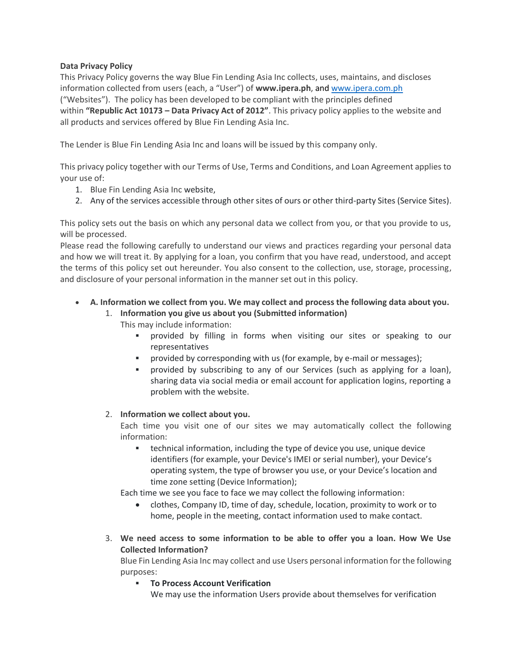# **Data Privacy Policy**

This Privacy Policy governs the way Blue Fin Lending Asia Inc collects, uses, maintains, and discloses information collected from users (each, a "User") of **www.ipera.ph**, and [www.ipera.com.ph](http://www.ipera.com.ph/) ("Websites"). The policy has been developed to be compliant with the principles defined within **"Republic Act 10173 – Data Privacy Act of 2012"**. This privacy policy applies to the website and all products and services offered by Blue Fin Lending Asia Inc.

The Lender is Blue Fin Lending Asia Inc and loans will be issued by this company only.

This privacy policy together with our Terms of Use, Terms and Conditions, and Loan Agreement applies to your use of:

- 1. Blue Fin Lending Asia Inc website,
- 2. Any of the services accessible through other sites of ours or other third-party Sites (Service Sites).

This policy sets out the basis on which any personal data we collect from you, or that you provide to us, will be processed.

Please read the following carefully to understand our views and practices regarding your personal data and how we will treat it. By applying for a loan, you confirm that you have read, understood, and accept the terms of this policy set out hereunder. You also consent to the collection, use, storage, processing, and disclosure of your personal information in the manner set out in this policy.

- **A. Information we collect from you. We may collect and process the following data about you.**
	- 1. **Information you give us about you (Submitted information)**

This may include information:

- provided by filling in forms when visiting our sites or speaking to our representatives
- **•** provided by corresponding with us (for example, by e-mail or messages);
- provided by subscribing to any of our Services (such as applying for a loan), sharing data via social media or email account for application logins, reporting a problem with the website.

### 2. **Information we collect about you.**

Each time you visit one of our sites we may automatically collect the following information:

technical information, including the type of device you use, unique device identifiers (for example, your Device's IMEI or serial number), your Device's operating system, the type of browser you use, or your Device's location and time zone setting (Device Information);

Each time we see you face to face we may collect the following information:

- clothes, Company ID, time of day, schedule, location, proximity to work or to home, people in the meeting, contact information used to make contact.
- 3. **We need access to some information to be able to offer you a loan. How We Use Collected Information?**

Blue Fin Lending Asia Inc may collect and use Users personal information for the following purposes:

**To Process Account Verification** 

We may use the information Users provide about themselves for verification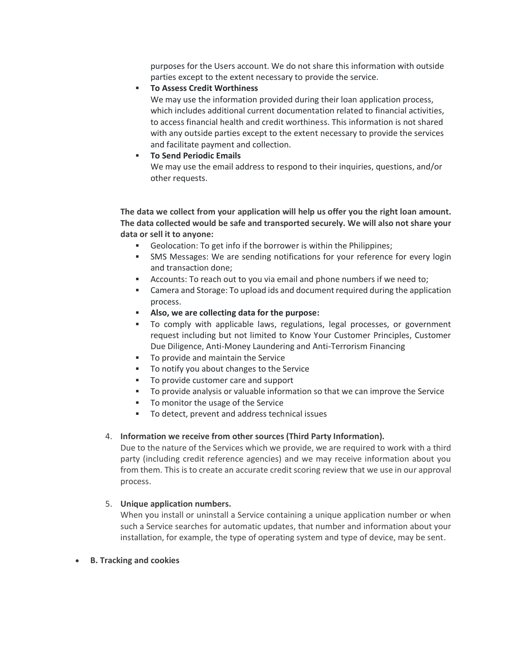purposes for the Users account. We do not share this information with outside parties except to the extent necessary to provide the service.

## **To Assess Credit Worthiness**

We may use the information provided during their loan application process, which includes additional current documentation related to financial activities, to access financial health and credit worthiness. This information is not shared with any outside parties except to the extent necessary to provide the services and facilitate payment and collection.

# **To Send Periodic Emails**

We may use the email address to respond to their inquiries, questions, and/or other requests.

**The data we collect from your application will help us offer you the right loan amount. The data collected would be safe and transported securely. We will also not share your data or sell it to anyone:**

- Geolocation: To get info if the borrower is within the Philippines;
- **•** SMS Messages: We are sending notifications for your reference for every login and transaction done;
- Accounts: To reach out to you via email and phone numbers if we need to;
- Camera and Storage: To upload ids and document required during the application process.
- **Also, we are collecting data for the purpose:**
- To comply with applicable laws, regulations, legal processes, or government request including but not limited to Know Your Customer Principles, Customer Due Diligence, Anti-Money Laundering and Anti-Terrorism Financing
- To provide and maintain the Service
- To notify you about changes to the Service
- To provide customer care and support
- To provide analysis or valuable information so that we can improve the Service
- To monitor the usage of the Service
- To detect, prevent and address technical issues

### 4. **Information we receive from other sources (Third Party Information).**

Due to the nature of the Services which we provide, we are required to work with a third party (including credit reference agencies) and we may receive information about you from them. This is to create an accurate credit scoring review that we use in our approval process.

### 5. **Unique application numbers.**

When you install or uninstall a Service containing a unique application number or when such a Service searches for automatic updates, that number and information about your installation, for example, the type of operating system and type of device, may be sent.

• **B. Tracking and cookies**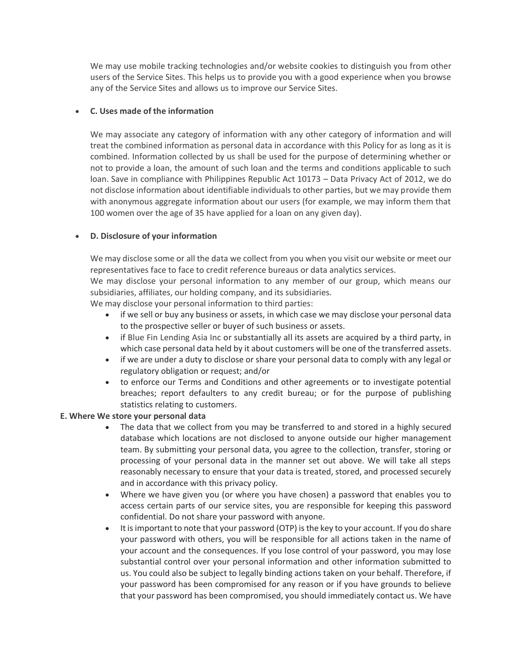We may use mobile tracking technologies and/or website cookies to distinguish you from other users of the Service Sites. This helps us to provide you with a good experience when you browse any of the Service Sites and allows us to improve our Service Sites.

# • **C. Uses made of the information**

We may associate any category of information with any other category of information and will treat the combined information as personal data in accordance with this Policy for as long as it is combined. Information collected by us shall be used for the purpose of determining whether or not to provide a loan, the amount of such loan and the terms and conditions applicable to such loan. Save in compliance with Philippines Republic Act 10173 – Data Privacy Act of 2012, we do not disclose information about identifiable individuals to other parties, but we may provide them with anonymous aggregate information about our users (for example, we may inform them that 100 women over the age of 35 have applied for a loan on any given day).

### • **D. Disclosure of your information**

We may disclose some or all the data we collect from you when you visit our website or meet our representatives face to face to credit reference bureaus or data analytics services.

We may disclose your personal information to any member of our group, which means our subsidiaries, affiliates, our holding company, and its subsidiaries.

We may disclose your personal information to third parties:

- if we sell or buy any business or assets, in which case we may disclose your personal data to the prospective seller or buyer of such business or assets.
- if Blue Fin Lending Asia Inc or substantially all its assets are acquired by a third party, in which case personal data held by it about customers will be one of the transferred assets.
- if we are under a duty to disclose or share your personal data to comply with any legal or regulatory obligation or request; and/or
- to enforce our Terms and Conditions and other agreements or to investigate potential breaches; report defaulters to any credit bureau; or for the purpose of publishing statistics relating to customers.

#### **E. Where We store your personal data**

- The data that we collect from you may be transferred to and stored in a highly secured database which locations are not disclosed to anyone outside our higher management team. By submitting your personal data, you agree to the collection, transfer, storing or processing of your personal data in the manner set out above. We will take all steps reasonably necessary to ensure that your data is treated, stored, and processed securely and in accordance with this privacy policy.
- Where we have given you (or where you have chosen) a password that enables you to access certain parts of our service sites, you are responsible for keeping this password confidential. Do not share your password with anyone.
- It is important to note that your password (OTP) is the key to your account. If you do share your password with others, you will be responsible for all actions taken in the name of your account and the consequences. If you lose control of your password, you may lose substantial control over your personal information and other information submitted to us. You could also be subject to legally binding actions taken on your behalf. Therefore, if your password has been compromised for any reason or if you have grounds to believe that your password has been compromised, you should immediately contact us. We have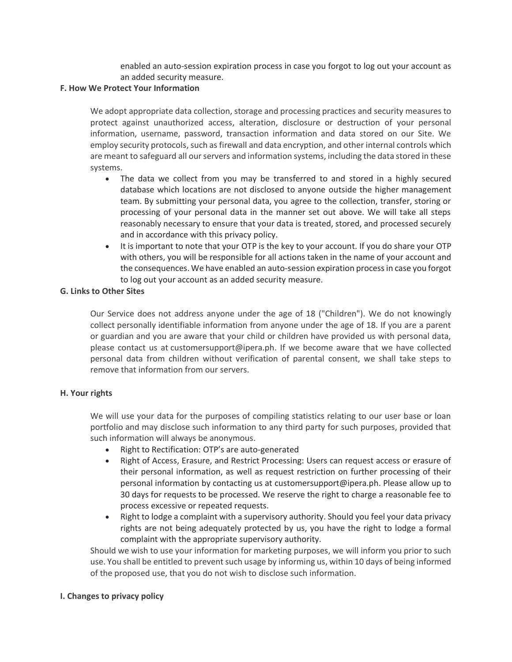enabled an auto-session expiration process in case you forgot to log out your account as an added security measure.

#### **F. How We Protect Your Information**

We adopt appropriate data collection, storage and processing practices and security measures to protect against unauthorized access, alteration, disclosure or destruction of your personal information, username, password, transaction information and data stored on our Site. We employ security protocols, such as firewall and data encryption, and other internal controls which are meant to safeguard all our servers and information systems, including the data stored in these systems.

- The data we collect from you may be transferred to and stored in a highly secured database which locations are not disclosed to anyone outside the higher management team. By submitting your personal data, you agree to the collection, transfer, storing or processing of your personal data in the manner set out above. We will take all steps reasonably necessary to ensure that your data is treated, stored, and processed securely and in accordance with this privacy policy.
- It is important to note that your OTP is the key to your account. If you do share your OTP with others, you will be responsible for all actions taken in the name of your account and the consequences. We have enabled an auto-session expiration process in case you forgot to log out your account as an added security measure.

### **G. Links to Other Sites**

Our Service does not address anyone under the age of 18 ("Children"). We do not knowingly collect personally identifiable information from anyone under the age of 18. If you are a parent or guardian and you are aware that your child or children have provided us with personal data, please contact us at customersupport@ipera.ph. If we become aware that we have collected personal data from children without verification of parental consent, we shall take steps to remove that information from our servers.

### **H. Your rights**

We will use your data for the purposes of compiling statistics relating to our user base or loan portfolio and may disclose such information to any third party for such purposes, provided that such information will always be anonymous.

- Right to Rectification: OTP's are auto-generated
- Right of Access, Erasure, and Restrict Processing: Users can request access or erasure of their personal information, as well as request restriction on further processing of their personal information by contacting us at customersupport@ipera.ph. Please allow up to 30 days for requests to be processed. We reserve the right to charge a reasonable fee to process excessive or repeated requests.
- Right to lodge a complaint with a supervisory authority. Should you feel your data privacy rights are not being adequately protected by us, you have the right to lodge a formal complaint with the appropriate supervisory authority.

Should we wish to use your information for marketing purposes, we will inform you prior to such use. You shall be entitled to prevent such usage by informing us, within 10 days of being informed of the proposed use, that you do not wish to disclose such information.

### **I. Changes to privacy policy**